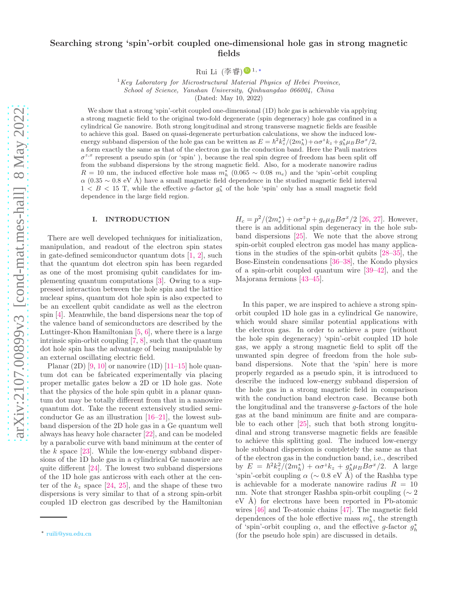## Searching strong 'spin'-orbit coupled one-dimensional hole gas in strong magnetic fields

Rui Li (李睿)❶ $1, *$ 

 $1_{Key}$  Laboratory for Microstructural Material Physics of Hebei Province, School of Science, Yanshan University, Qinhuangdao 066004, China

(Dated: May 10, 2022)

We show that a strong 'spin'-orbit coupled one-dimensional (1D) hole gas is achievable via applying a strong magnetic field to the original two-fold degenerate (spin degeneracy) hole gas confined in a cylindrical Ge nanowire. Both strong longitudinal and strong transverse magnetic fields are feasible to achieve this goal. Based on quasi-degenerate perturbation calculations, we show the induced lowenergy subband dispersion of the hole gas can be written as  $E = \hbar^2 k_z^2/(2m_h^*) + \alpha \sigma^z k_z + g_h^* \mu_B B \sigma^x/2$ , a form exactly the same as that of the electron gas in the conduction band. Here the Pauli matrices  $\sigma^{z,x}$  represent a pseudo spin (or 'spin'), because the real spin degree of freedom has been split off from the subband dispersions by the strong magnetic field. Also, for a moderate nanowire radius  $R = 10$  nm, the induced effective hole mass  $m_h^*$  (0.065  $\sim$  0.08  $m_e$ ) and the 'spin'-orbit coupling  $\alpha$  (0.35 ~ 0.8 eV Å) have a small magnetic field dependence in the studied magnetic field interval  $1 < B < 15$  T, while the effective g-factor  $g_h^*$  of the hole 'spin' only has a small magnetic field dependence in the large field region.

#### I. INTRODUCTION

There are well developed techniques for initialization, manipulation, and readout of the electron spin states in gate-defined semiconductor quantum dots [\[1,](#page-11-0) [2\]](#page-11-1), such that the quantum dot electron spin has been regarded as one of the most promising qubit candidates for implementing quantum computations [\[3\]](#page-11-2). Owing to a suppressed interaction between the hole spin and the lattice nuclear spins, quantum dot hole spin is also expected to be an excellent qubit candidate as well as the electron spin [\[4](#page-11-3)]. Meanwhile, the band dispersions near the top of the valence band of semiconductors are described by the Luttinger-Khon Hamiltonian [\[5](#page-11-4), [6\]](#page-11-5), where there is a large intrinsic spin-orbit coupling [\[7](#page-11-6), [8](#page-11-7)], such that the quantum dot hole spin has the advantage of being manipulable by an external oscillating electric field.

Planar  $(2D)$  [\[9,](#page-11-8) [10\]](#page-11-9) or nanowire  $(1D)$  [\[11](#page-11-10)[–15](#page-12-0)] hole quantum dot can be fabricated experimentally via placing proper metallic gates below a 2D or 1D hole gas. Note that the physics of the hole spin qubit in a planar quantum dot may be totally different from that in a nanowire quantum dot. Take the recent extensively studied semiconductor Ge as an illustration  $[16–21]$  $[16–21]$  $[16–21]$ , the lowest subband dispersion of the 2D hole gas in a Ge quantum well always has heavy hole character [\[22\]](#page-12-3), and can be modeled by a parabolic curve with band minimum at the center of the k space  $[23]$ . While the low-energy subband dispersions of the 1D hole gas in a cylindrical Ge nanowire are quite different [\[24\]](#page-12-5). The lowest two subband dispersions of the 1D hole gas anticross with each other at the center of the  $k_z$  space [\[24](#page-12-5), [25\]](#page-12-6), and the shape of these two dispersions is very similar to that of a strong spin-orbit coupled 1D electron gas described by the Hamiltonian

 $H_c = p^2/(2m_e^*) + \alpha \sigma^z p + g_e \mu_B B \sigma^x/2$  [\[26,](#page-12-7) [27\]](#page-12-8). However, there is an additional spin degeneracy in the hole subband dispersions [\[25](#page-12-6)]. We note that the above strong spin-orbit coupled electron gas model has many applications in the studies of the spin-orbit qubits [\[28](#page-12-9)[–35\]](#page-12-10), the Bose-Einstein condensations [\[36](#page-12-11)[–38\]](#page-12-12), the Kondo physics of a spin-orbit coupled quantum wire [\[39](#page-12-13)[–42](#page-12-14)], and the Majorana fermions [\[43](#page-12-15)[–45](#page-12-16)].

In this paper, we are inspired to achieve a strong spinorbit coupled 1D hole gas in a cylindrical Ge nanowire, which would share similar potential applications with the electron gas. In order to achieve a pure (without the hole spin degeneracy) 'spin'-orbit coupled 1D hole gas, we apply a strong magnetic field to split off the unwanted spin degree of freedom from the hole subband dispersions. Note that the 'spin' here is more properly regarded as a pseudo spin, it is introduced to describe the induced low-energy subband dispersion of the hole gas in a strong magnetic field in comparison with the conduction band electron case. Because both the longitudinal and the transverse g-factors of the hole gas at the band minimum are finite and are comparable to each other [\[25\]](#page-12-6), such that both strong longitudinal and strong transverse magnetic fields are feasible to achieve this splitting goal. The induced low-energy hole subband dispersion is completely the same as that of the electron gas in the conduction band, i.e., described by  $E = \hbar^2 k_z^2/(2m_h^*) + \alpha \sigma^z k_z + g_h^* \mu_B B \sigma^x/2$ . A large 'spin'-orbit coupling  $\alpha$  (~ 0.8 eV Å) of the Rashba type is achievable for a moderate nanowire radius  $R = 10$ nm. Note that stronger Rashba spin-orbit coupling ( $\sim 2$ )  $eV$  Å) for electrons have been reported in Pb-atomic wires [\[46](#page-12-17)] and Te-atomic chains [\[47\]](#page-12-18). The magnetic field dependences of the hole effective mass  $m_h^*$ , the strength of 'spin'-orbit coupling  $\alpha$ , and the effective g-factor  $g_h^*$ (for the pseudo hole spin) are discussed in details.

<span id="page-0-0"></span><sup>∗</sup> [ruili@ysu.edu.cn](mailto:ruili@ysu.edu.cn)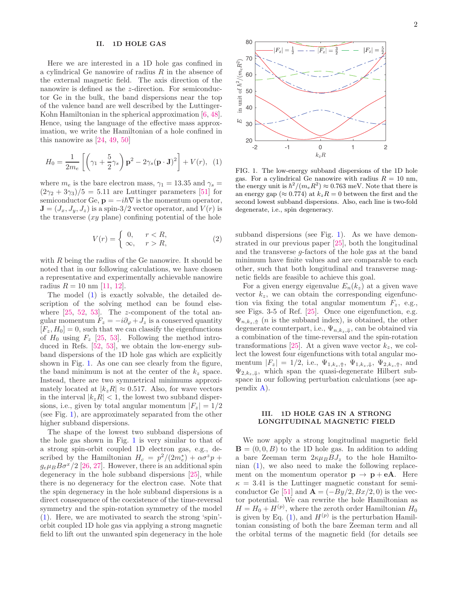#### II. 1D HOLE GAS

Here we are interested in a 1D hole gas confined in a cylindrical Ge nanowire of radius R in the absence of the external magnetic field. The axis direction of the nanowire is defined as the z-direction. For semiconductor Ge in the bulk, the band dispersions near the top of the valence band are well described by the Luttinger-Kohn Hamiltonian in the spherical approximation [\[6](#page-11-5), [48\]](#page-12-19). Hence, using the language of the effective mass approximation, we write the Hamiltonian of a hole confined in this nanowire as [\[24,](#page-12-5) [49,](#page-12-20) [50\]](#page-13-0)

<span id="page-1-0"></span>
$$
H_0 = \frac{1}{2m_e} \left[ \left( \gamma_1 + \frac{5}{2} \gamma_s \right) \mathbf{p}^2 - 2 \gamma_s (\mathbf{p} \cdot \mathbf{J})^2 \right] + V(r), \tag{1}
$$

where  $m_e$  is the bare electron mass,  $\gamma_1 = 13.35$  and  $\gamma_s =$  $(2\gamma_2 + 3\gamma_3)/5 = 5.11$  are Luttinger parameters [\[51](#page-13-1)] for semiconductor Ge,  $\mathbf{p} = -i\hbar\nabla$  is the momentum operator,  $J = (J_x, J_y, J_z)$  is a spin-3/2 vector operator, and  $V(r)$  is the transverse  $(xy \text{ plane})$  confining potential of the hole

$$
V(r) = \begin{cases} 0, & r < R, \\ \infty, & r > R, \end{cases}
$$
 (2)

with  $R$  being the radius of the Ge nanowire. It should be noted that in our following calculations, we have chosen a representative and experimentally achievable nanowire radius  $R = 10$  nm [\[11](#page-11-10), [12](#page-11-11)].

The model [\(1\)](#page-1-0) is exactly solvable, the detailed description of the solving method can be found elsewhere  $[25, 52, 53]$  $[25, 52, 53]$  $[25, 52, 53]$  $[25, 52, 53]$ . The *z*-component of the total angular momentum  $F_z = -i\partial_{\varphi} + J_z$  is a conserved quantity  $[F_z, H_0] = 0$ , such that we can classify the eigenfunctions of  $H_0$  using  $F_z$  [\[25,](#page-12-6) [53](#page-13-3)]. Following the method introduced in Refs. [\[52,](#page-13-2) [53\]](#page-13-3), we obtain the low-energy subband dispersions of the 1D hole gas which are explicitly shown in Fig. [1.](#page-1-1) As one can see clearly from the figure, the band minimum is not at the center of the  $k_z$  space. Instead, there are two symmetrical minimums approximately located at  $|k_zR| \approx 0.517$ . Also, for wave vectors in the interval  $|k_zR| < 1$ , the lowest two subband dispersions, i.e., given by total angular momentum  $|F_z| = 1/2$ (see Fig. [1\)](#page-1-1), are approximately separated from the other higher subband dispersions.

The shape of the lowest two subband dispersions of the hole gas shown in Fig. [1](#page-1-1) is very similar to that of a strong spin-orbit coupled 1D electron gas, e.g., described by the Hamiltonian  $H_c = p^2/(2m_e^*) + \alpha \sigma^z p +$  $g_e\mu_B B\sigma^x/2$  [\[26](#page-12-7), [27\]](#page-12-8). However, there is an additional spin degeneracy in the hole subband dispersions [\[25\]](#page-12-6), while there is no degeneracy for the electron case. Note that the spin degeneracy in the hole subband dispersions is a direct consequence of the coexistence of the time-reversal symmetry and the spin-rotation symmetry of the model [\(1\)](#page-1-0). Here, we are motivated to search the strong 'spin' orbit coupled 1D hole gas via applying a strong magnetic field to lift out the unwanted spin degeneracy in the hole



<span id="page-1-1"></span>FIG. 1. The low-energy subband dispersions of the 1D hole gas. For a cylindrical Ge nanowire with radius  $R = 10$  nm, the energy unit is  $\hbar^2/(m_e R^2) \approx 0.763$  meV. Note that there is an energy gap ( $\approx 0.774$ ) at  $k_zR = 0$  between the first and the second lowest subband dispersions. Also, each line is two-fold degenerate, i.e., spin degeneracy.

subband dispersions (see Fig. [1\)](#page-1-1). As we have demonstrated in our previous paper [\[25\]](#page-12-6), both the longitudinal and the transverse g-factors of the hole gas at the band minimum have finite values and are comparable to each other, such that both longitudinal and transverse magnetic fields are feasible to achieve this goal.

For a given energy eigenvalue  $E_n(k_z)$  at a given wave vector  $k_z$ , we can obtain the corresponding eigenfunction via fixing the total angular momentum  $F_z$ , e.g., see Figs. 3-5 of Ref. [\[25\]](#page-12-6). Once one eigenfunction, e.g.  $\Psi_{n,k_{\star},\Uparrow}$  (*n* is the subband index), is obtained, the other degenerate counterpart, i.e.,  $\Psi_{n,k_z,\Downarrow}$ , can be obtained via a combination of the time-reversal and the spin-rotation transformations [\[25\]](#page-12-6). At a given wave vector  $k_z$ , we collect the lowest four eigenfunctions with total angular momentum  $|F_z| = 1/2$ , i.e.,  $\Psi_{1,k_z,\uparrow}$ ,  $\Psi_{1,k_z,\downarrow}$ ,  $\Psi_{2,k_z,\uparrow}$ , and  $\Psi_{2,k_z,\downarrow}$ , which span the quasi-degenerate Hilbert subspace in our following perturbation calculations (see appendix [A\)](#page-4-0).

#### III. 1D HOLE GAS IN A STRONG LONGITUDINAL MAGNETIC FIELD

We now apply a strong longitudinal magnetic field  $\mathbf{B} = (0, 0, B)$  to the 1D hole gas. In addition to adding a bare Zeeman term  $2\kappa\mu_B B J_z$  to the hole Hamiltonian [\(1\)](#page-1-0), we also need to make the following replacement on the momentum operator  $p \rightarrow p + eA$ . Here  $\kappa = 3.41$  is the Luttinger magnetic constant for semi-conductor Ge [\[51\]](#page-13-1) and  $\mathbf{A} = (-By/2, Bx/2, 0)$  is the vector potential. We can rewrite the hole Hamiltonian as  $H = H_0 + H^{(p)}$ , where the zeroth order Hamiltonian  $H_0$ is given by Eq.  $(1)$ , and  $H^{(p)}$  is the perturbation Hamiltonian consisting of both the bare Zeeman term and all the orbital terms of the magnetic field (for details see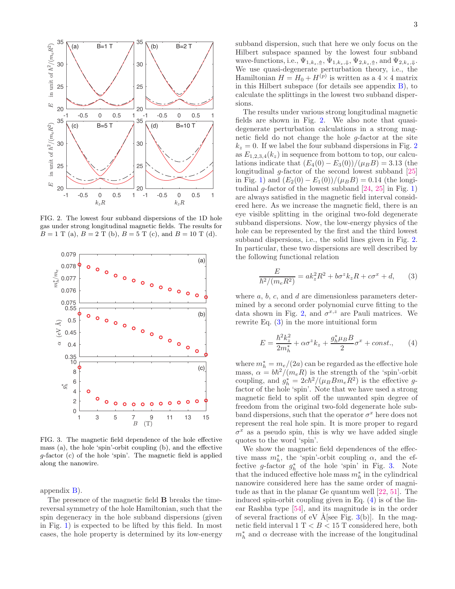

<span id="page-2-0"></span>FIG. 2. The lowest four subband dispersions of the 1D hole gas under strong longitudinal magnetic fields. The results for  $B = 1$  T (a),  $B = 2$  T (b),  $B = 5$  T (c), and  $B = 10$  T (d).



<span id="page-2-2"></span>FIG. 3. The magnetic field dependence of the hole effective mass (a), the hole 'spin'-orbit coupling (b), and the effective g-factor (c) of the hole 'spin'. The magnetic field is applied along the nanowire.

appendix [B\)](#page-5-0).

The presence of the magnetic field B breaks the timereversal symmetry of the hole Hamiltonian, such that the spin degeneracy in the hole subband dispersions (given in Fig. [1\)](#page-1-1) is expected to be lifted by this field. In most cases, the hole property is determined by its low-energy

subband dispersion, such that here we only focus on the Hilbert subspace spanned by the lowest four subband wave-functions, i.e.,  $\Psi_{1,k_z,\uparrow}$ ,  $\Psi_{1,k_z,\downarrow}$ ,  $\Psi_{2,k_z,\uparrow}$ , and  $\Psi_{2,k_z,\downarrow}$ . We use quasi-degenerate perturbation theory, i.e., the Hamiltonian  $H = H_0 + H^{(p)}$  is written as a  $4 \times 4$  matrix in this Hilbert subspace (for details see appendix [B\)](#page-5-0), to calculate the splittings in the lowest two subband dispersions.

The results under various strong longitudinal magnetic fields are shown in Fig. [2.](#page-2-0) We also note that quasidegenerate perturbation calculations in a strong magnetic field do not change the hole g-factor at the site  $k_z = 0$ . If we label the four subband dispersions in Fig. [2](#page-2-0) as  $E_{1,2,3,4}(k_z)$  in sequence from bottom to top, our calculations indicate that  $(E_4(0) - E_3(0))/(\mu_B B) = 3.13$  (the longitudinal g-factor of the second lowest subband [\[25](#page-12-6)] in Fig. [1\)](#page-1-1) and  $(E_2(0) - E_1(0))/(\mu_B B) = 0.14$  (the longitudinal g-factor of the lowest subband  $[24, 25]$  $[24, 25]$  $[24, 25]$  in Fig. [1\)](#page-1-1) are always satisfied in the magnetic field interval considered here. As we increase the magnetic field, there is an eye visible splitting in the original two-fold degenerate subband dispersions. Now, the low-energy physics of the hole can be represented by the first and the third lowest subband dispersions, i.e., the solid lines given in Fig. [2.](#page-2-0) In particular, these two dispersions are well described by the following functional relation

<span id="page-2-1"></span>
$$
\frac{E}{\hbar^2/(m_e R^2)} = ak_z^2 R^2 + b\sigma^z k_z R + c\sigma^x + d,\qquad(3)
$$

where  $a, b, c$ , and  $d$  are dimensionless parameters determined by a second order polynomial curve fitting to the data shown in Fig. [2,](#page-2-0) and  $\sigma^{x,z}$  are Pauli matrices. We rewrite Eq.  $(3)$  in the more intuitional form

<span id="page-2-3"></span>
$$
E = \frac{\hbar^2 k_z^2}{2m_h^*} + \alpha \sigma^z k_z + \frac{g_h^* \mu_B B}{2} \sigma^x + const.,\qquad (4)
$$

where  $m_h^* = m_e/(2a)$  can be regarded as the effective hole mass,  $\alpha = b\hbar^2/(m_e R)$  is the strength of the 'spin'-orbit coupling, and  $g_h^* = 2c\hbar^2/(\mu_B B m_e R^2)$  is the effective gfactor of the hole 'spin'. Note that we have used a strong magnetic field to split off the unwanted spin degree of freedom from the original two-fold degenerate hole subband dispersions, such that the operator  $\sigma^x$  here does not represent the real hole spin. It is more proper to regard  $\sigma^x$  as a pseudo spin, this is why we have added single quotes to the word 'spin'.

We show the magnetic field dependences of the effective mass  $m_h^*$ , the 'spin'-orbit coupling  $\alpha$ , and the effective g-factor  $g_h^*$  of the hole 'spin' in Fig. [3.](#page-2-2) Note that the induced effective hole mass  $m_h^*$  in the cylindrical nanowire considered here has the same order of magnitude as that in the planar Ge quantum well [\[22,](#page-12-3) [51](#page-13-1)]. The induced spin-orbit coupling given in Eq. [\(4\)](#page-2-3) is of the linear Rashba type [\[54\]](#page-13-4), and its magnitude is in the order of several fractions of eV Å [see Fig. [3\(](#page-2-2)b)]. In the magnetic field interval  $1 \text{ T} < B < 15 \text{ T}$  considered here, both  $m_h^*$  and  $\alpha$  decrease with the increase of the longitudinal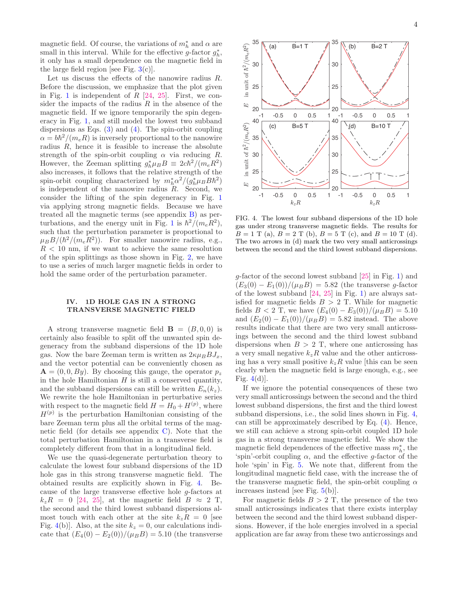magnetic field. Of course, the variations of  $m<sub>h</sub><sup>*</sup>$  and  $\alpha$  are small in this interval. While for the effective g-factor  $g_h^*$ , it only has a small dependence on the magnetic field in the large field region [see Fig.  $3(c)$  $3(c)$ ].

Let us discuss the effects of the nanowire radius R. Before the discussion, we emphasize that the plot given in Fig. [1](#page-1-1) is independent of  $R$  [\[24,](#page-12-5) [25](#page-12-6)]. First, we consider the impacts of the radius  $R$  in the absence of the magnetic field. If we ignore temporarily the spin degeneracy in Fig. [1,](#page-1-1) and still model the lowest two subband dispersions as Eqs.  $(3)$  and  $(4)$ . The spin-orbit coupling  $\alpha = b\hbar^2/(m_e R)$  is inversely proportional to the nanowire radius  $R$ , hence it is feasible to increase the absolute strength of the spin-orbit coupling  $\alpha$  via reducing R. However, the Zeeman splitting  $g_h^* \mu_B B \equiv 2c\hbar^2/(m_e R^2)$ also increases, it follows that the relative strength of the spin-orbit coupling characterized by  $m_h^* \alpha^2 / (g_h^* \mu_B B \hbar^2)$ is independent of the nanowire radius  $R$ . Second, we consider the lifting of the spin degeneracy in Fig. [1](#page-1-1) via applying strong magnetic fields. Because we have treated all the magnetic terms (see appendix [B\)](#page-5-0) as per-turbations, and the energy unit in Fig. [1](#page-1-1) is  $\hbar^2/(m_e R^2)$ , such that the perturbation parameter is proportional to  $\mu_B B/(\hbar^2/(m_e R^2))$ . For smaller nanowire radius, e.g.,  $R < 10$  nm, if we want to achieve the same resolution of the spin splittings as those shown in Fig. [2,](#page-2-0) we have to use a series of much larger magnetic fields in order to hold the same order of the perturbation parameter.

#### IV. 1D HOLE GAS IN A STRONG TRANSVERSE MAGNETIC FIELD

A strong transverse magnetic field  $\mathbf{B} = (B, 0, 0)$  is certainly also feasible to split off the unwanted spin degeneracy from the subband dispersions of the 1D hole gas. Now the bare Zeeman term is written as  $2\kappa\mu_B B J_x$ , and the vector potential can be conveniently chosen as  $\mathbf{A} = (0, 0, By)$ . By choosing this gauge, the operator  $p_z$ in the hole Hamiltonian  $H$  is still a conserved quantity, and the subband dispersions can still be written  $E_n(k_z)$ . We rewrite the hole Hamiltonian in perturbative series with respect to the magnetic field  $H = H_0 + H^{(p)}$ , where  $H^{(p)}$  is the perturbation Hamiltonian consisting of the bare Zeeman term plus all the orbital terms of the magnetic field (for details see appendix  $C$ ). Note that the total perturbation Hamiltonian in a transverse field is completely different from that in a longitudinal field.

We use the quasi-degenerate perturbation theory to calculate the lowest four subband dispersions of the 1D hole gas in this strong transverse magnetic field. The obtained results are explicitly shown in Fig. [4.](#page-3-0) Because of the large transverse effective hole g-factors at  $k_zR = 0$  [\[24](#page-12-5), [25\]](#page-12-6), at the magnetic field  $B \approx 2$  T, the second and the third lowest subband dispersions almost touch with each other at the site  $k_zR = 0$  [see Fig. [4\(](#page-3-0)b)]. Also, at the site  $k_z = 0$ , our calculations indicate that  $(E_4(0) - E_2(0))/(\mu_B B) = 5.10$  (the transverse



<span id="page-3-0"></span>FIG. 4. The lowest four subband dispersions of the 1D hole gas under strong transverse magnetic fields. The results for  $B = 1$  T (a),  $B = 2$  T (b),  $B = 5$  T (c), and  $B = 10$  T (d). The two arrows in (d) mark the two very small anticrossings between the second and the third lowest subband dispersions.

g-factor of the second lowest subband [\[25](#page-12-6)] in Fig. [1\)](#page-1-1) and  $(E_3(0) - E_1(0))/(\mu_B B) = 5.82$  (the transverse g-factor of the lowest subband [\[24](#page-12-5), [25\]](#page-12-6) in Fig. [1\)](#page-1-1) are always satisfied for magnetic fields  $B > 2$  T. While for magnetic fields  $B < 2$  T, we have  $(E_4(0) - E_3(0))/(\mu_B B) = 5.10$ and  $(E_2(0) - E_1(0))/(\mu_B B) = 5.82$  instead. The above results indicate that there are two very small anticrossings between the second and the third lowest subband dispersions when  $B > 2$  T, where one anticrossing has a very small negative  $k_zR$  value and the other anticrossing has a very small positive  $k_zR$  value [this can be seen clearly when the magnetic field is large enough, e.g., see Fig.  $4(d)$  $4(d)$ .

If we ignore the potential consequences of these two very small anticrossings between the second and the third lowest subband dispersions, the first and the third lowest subband dispersions, i.e., the solid lines shown in Fig. [4,](#page-3-0) can still be approximately described by Eq. [\(4\)](#page-2-3). Hence, we still can achieve a strong spin-orbit coupled 1D hole gas in a strong transverse magnetic field. We show the magnetic field dependences of the effective mass  $m_h^*$ , the 'spin'-orbit coupling  $\alpha$ , and the effective g-factor of the hole 'spin' in Fig. [5.](#page-4-1) We note that, different from the longitudinal magnetic field case, with the increase the of the transverse magnetic field, the spin-orbit coupling  $\alpha$ increases instead [see Fig. [5\(](#page-4-1)b)].

For magnetic fields  $B > 2$  T, the presence of the two small anticrossings indicates that there exists interplay between the second and the third lowest subband dispersions. However, if the hole energies involved in a special application are far away from these two anticrossings and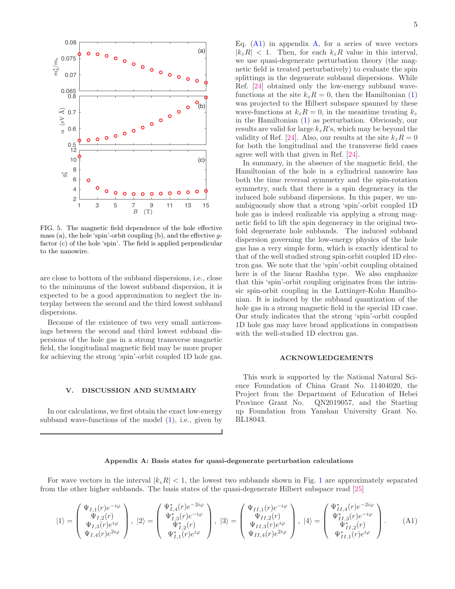

<span id="page-4-1"></span>FIG. 5. The magnetic field dependence of the hole effective mass (a), the hole 'spin'-orbit coupling (b), and the effective  $q$ factor (c) of the hole 'spin'. The field is applied perpendicular to the nanowire.

are close to bottom of the subband dispersions, i.e., close to the minimums of the lowest subband dispersion, it is expected to be a good approximation to neglect the interplay between the second and the third lowest subband dispersions.

Because of the existence of two very small anticrossings between the second and third lowest subband dispersions of the hole gas in a strong transverse magnetic field, the longitudinal magnetic field may be more proper for achieving the strong 'spin'-orbit coupled 1D hole gas.

#### V. DISCUSSION AND SUMMARY

In our calculations, we first obtain the exact low-energy subband wave-functions of the model  $(1)$ , i.e., given by

Eq.  $(A1)$  in appendix [A,](#page-4-0) for a series of wave vectors  $|k_zR| < 1$ . Then, for each  $k_zR$  value in this interval, we use quasi-degenerate perturbation theory (the magnetic field is treated perturbatively) to evaluate the spin splittings in the degenerate subband dispersions. While Ref. [\[24](#page-12-5)] obtained only the low-energy subband wavefunctions at the site  $k_zR = 0$ , then the Hamiltonian [\(1\)](#page-1-0) was projected to the Hilbert subspace spanned by these wave-functions at  $k_zR = 0$ , in the meantime treating  $k_z$ in the Hamiltonian [\(1\)](#page-1-0) as perturbation. Obviously, our results are valid for large  $k_zR$ 's, which may be beyond the validity of Ref. [\[24\]](#page-12-5). Also, our results at the site  $k_zR = 0$ for both the longitudinal and the transverse field cases agree well with that given in Ref. [\[24\]](#page-12-5).

In summary, in the absence of the magnetic field, the Hamiltonian of the hole in a cylindrical nanowire has both the time reversal symmetry and the spin-rotation symmetry, such that there is a spin degeneracy in the induced hole subband dispersions. In this paper, we unambiguously show that a strong 'spin'-orbit coupled 1D hole gas is indeed realizable via applying a strong magnetic field to lift the spin degeneracy in the original twofold degenerate hole subbands. The induced subband dispersion governing the low-energy physics of the hole gas has a very simple form, which is exactly identical to that of the well studied strong spin-orbit coupled 1D electron gas. We note that the 'spin'-orbit coupling obtained here is of the linear Rashba type. We also emphasize that this 'spin'-orbit coupling originates from the intrinsic spin-orbit coupling in the Luttinger-Kohn Hamiltonian. It is induced by the subband quantization of the hole gas in a strong magnetic field in the special 1D case. Our study indicates that the strong 'spin'-orbit coupled 1D hole gas may have broad applications in comparison with the well-studied 1D electron gas.

#### <span id="page-4-2"></span>ACKNOWLEDGEMENTS

This work is supported by the National Natural Science Foundation of China Grant No. 11404020, the Project from the Department of Education of Hebei Province Grant No. QN2019057, and the Starting up Foundation from Yanshan University Grant No. BL18043.

#### <span id="page-4-0"></span>Appendix A: Basis states for quasi-degenerate perturbation calculations

For wave vectors in the interval  $|k_zR| < 1$  $|k_zR| < 1$ , the lowest two subbands shown in Fig. 1 are approximately separated from the other higher subbands. The basis states of the quasi-degenerate Hilbert subspace read [\[25](#page-12-6)]

$$
|1\rangle = \begin{pmatrix} \Psi_{I,1}(r)e^{-i\varphi} \\ \Psi_{I,2}(r) \\ \Psi_{I,3}(r)e^{i\varphi} \\ \Psi_{I,4}(r)e^{2i\varphi} \end{pmatrix}, |2\rangle = \begin{pmatrix} \Psi_{I,4}^*(r)e^{-2i\varphi} \\ \Psi_{I,3}^*(r)e^{-i\varphi} \\ \Psi_{I,2}^*(r) \\ \Psi_{I,1}^*(r)e^{i\varphi} \end{pmatrix}, |3\rangle = \begin{pmatrix} \Psi_{II,1}(r)e^{-i\varphi} \\ \Psi_{II,2}(r) \\ \Psi_{II,3}(r)e^{i\varphi} \\ \Psi_{II,4}(r)e^{2i\varphi} \end{pmatrix}, |4\rangle = \begin{pmatrix} \Psi_{II,4}^*(r)e^{-2i\varphi} \\ \Psi_{II,4}^*(r)e^{-i\varphi} \\ \Psi_{II,2}^*(r) \\ \Psi_{II,1}^*(r)e^{i\varphi} \end{pmatrix}.
$$
 (A1)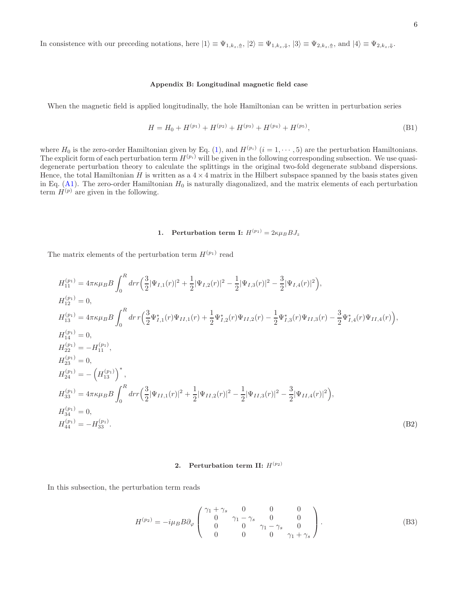In consistence with our preceding notations, here  $|1\rangle \equiv \Psi_{1,k_z,\uparrow}$ ,  $|2\rangle \equiv \Psi_{1,k_z,\downarrow}$ ,  $|3\rangle \equiv \Psi_{2,k_z,\uparrow}$ , and  $|4\rangle \equiv \Psi_{2,k_z,\downarrow}$ .

#### <span id="page-5-0"></span>Appendix B: Longitudinal magnetic field case

When the magnetic field is applied longitudinally, the hole Hamiltonian can be written in perturbation series

$$
H = H_0 + H^{(p_1)} + H^{(p_2)} + H^{(p_3)} + H^{(p_4)} + H^{(p_5)},
$$
\n(B1)

where  $H_0$  is the zero-order Hamiltonian given by Eq. [\(1\)](#page-1-0), and  $H^{(p_i)}$   $(i = 1, \dots, 5)$  are the perturbation Hamiltonians. The explicit form of each perturbation term  $H^{(p_i)}$  will be given in the following corresponding subsection. We use quasidegenerate perturbation theory to calculate the splittings in the original two-fold degenerate subband dispersions. Hence, the total Hamiltonian H is written as a  $4 \times 4$  matrix in the Hilbert subspace spanned by the basis states given in Eq.  $(A1)$ . The zero-order Hamiltonian  $H_0$  is naturally diagonalized, and the matrix elements of each perturbation term  $H^{(p)}$  are given in the following.

## 1. Perturbation term I:  $H^{(p_1)} = 2\kappa\mu_B B J_z$

The matrix elements of the perturbation term  $H^{(p_1)}$  read

$$
H_{11}^{(p_1)} = 4\pi\kappa\mu_B B \int_0^R dr r \Big( \frac{3}{2} |\Psi_{I,1}(r)|^2 + \frac{1}{2} |\Psi_{I,2}(r)|^2 - \frac{1}{2} |\Psi_{I,3}(r)|^2 - \frac{3}{2} |\Psi_{I,4}(r)|^2 \Big),
$$
  
\n
$$
H_{12}^{(p_1)} = 0,
$$
  
\n
$$
H_{13}^{(p_1)} = 4\pi\kappa\mu_B B \int_0^R dr r \Big( \frac{3}{2} \Psi_{I,1}^*(r) \Psi_{II,1}(r) + \frac{1}{2} \Psi_{I,2}^*(r) \Psi_{II,2}(r) - \frac{1}{2} \Psi_{I,3}^*(r) \Psi_{II,3}(r) - \frac{3}{2} \Psi_{I,4}^*(r) \Psi_{II,4}(r) \Big),
$$
  
\n
$$
H_{14}^{(p_1)} = 0,
$$
  
\n
$$
H_{22}^{(p_1)} = -H_{11}^{(p_1)},
$$
  
\n
$$
H_{33}^{(p_1)} = 0,
$$
  
\n
$$
H_{33}^{(p_1)} = 4\pi\kappa\mu_B B \int_0^R dr r \Big( \frac{3}{2} |\Psi_{II,1}(r)|^2 + \frac{1}{2} |\Psi_{II,2}(r)|^2 - \frac{1}{2} |\Psi_{II,3}(r)|^2 - \frac{3}{2} |\Psi_{II,4}(r)|^2 \Big),
$$
  
\n
$$
H_{34}^{(p_1)} = 0,
$$
  
\n
$$
H_{44}^{(p_1)} = -H_{33}^{(p_1)}.
$$
  
\n(B2)

## 2. Perturbation term II:  $H^{(p_2)}$

$$
H^{(p_2)} = -i\mu_B B \partial_\varphi \begin{pmatrix} \gamma_1 + \gamma_s & 0 & 0 & 0 \\ 0 & \gamma_1 - \gamma_s & 0 & 0 \\ 0 & 0 & \gamma_1 - \gamma_s & 0 \\ 0 & 0 & 0 & \gamma_1 + \gamma_s \end{pmatrix} . \tag{B3}
$$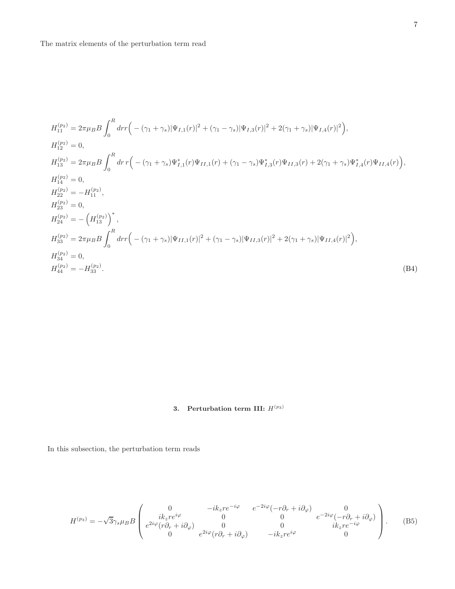$$
H_{11}^{(p_2)} = 2\pi\mu_B B \int_0^R dr r \Big( - (\gamma_1 + \gamma_s) |\Psi_{I,1}(r)|^2 + (\gamma_1 - \gamma_s) |\Psi_{I,3}(r)|^2 + 2(\gamma_1 + \gamma_s) |\Psi_{I,4}(r)|^2 \Big),
$$
  
\n
$$
H_{12}^{(p_2)} = 0,
$$
  
\n
$$
H_{13}^{(p_2)} = 2\pi\mu_B B \int_0^R dr r \Big( - (\gamma_1 + \gamma_s) \Psi_{I,1}^*(r) \Psi_{II,1}(r) + (\gamma_1 - \gamma_s) \Psi_{I,3}^*(r) \Psi_{II,3}(r) + 2(\gamma_1 + \gamma_s) \Psi_{I,4}^*(r) \Psi_{II,4}(r) \Big),
$$
  
\n
$$
H_{14}^{(p_2)} = 0,
$$
  
\n
$$
H_{22}^{(p_2)} = -H_{11}^{(p_2)},
$$
  
\n
$$
H_{23}^{(p_2)} = 0,
$$
  
\n
$$
H_{33}^{(p_2)} = 2\pi\mu_B B \int_0^R dr r \Big( - (\gamma_1 + \gamma_s) |\Psi_{II,1}(r)|^2 + (\gamma_1 - \gamma_s) |\Psi_{II,3}(r)|^2 + 2(\gamma_1 + \gamma_s) |\Psi_{II,4}(r)|^2 \Big),
$$
  
\n
$$
H_{34}^{(p_2)} = 0,
$$
  
\n
$$
H_{44}^{(p_2)} = -H_{33}^{(p_2)}.
$$
  
\n(B4)

## 3. Perturbation term III:  $H^{(p_3)}$

$$
H^{(p_3)} = -\sqrt{3}\gamma_s \mu_B B \begin{pmatrix} 0 & -ik_z re^{-i\varphi} & e^{-2i\varphi}(-r\partial_r + i\partial_\varphi) & 0 \\ ik_z re^{i\varphi} & 0 & 0 & e^{-2i\varphi}(-r\partial_r + i\partial_\varphi) \\ e^{2i\varphi}(r\partial_r + i\partial_\varphi) & 0 & 0 & ik_z re^{-i\varphi} \\ 0 & e^{2i\varphi}(r\partial_r + i\partial_\varphi) & -ik_z re^{i\varphi} & 0 \end{pmatrix} . \tag{B5}
$$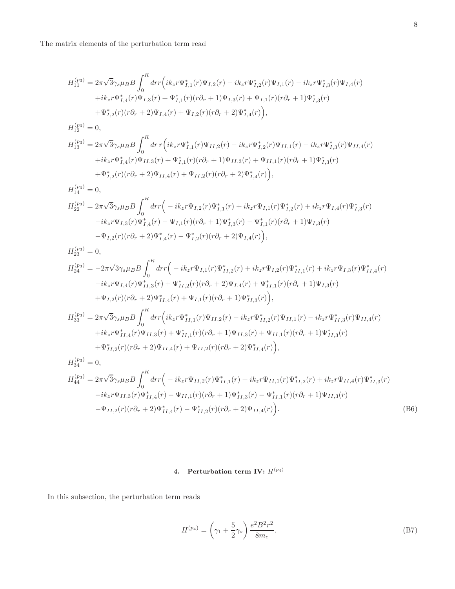The matrix elements of the perturbation term read

$$
H_{11}^{(p_3)} = 2\pi\sqrt{3}\gamma_s\mu_B B \int_0^R dr r \Big( i k_z r \Psi_{I,1}^*(r) \Psi_{I,2}(r) - i k_z r \Psi_{I,2}^*(r) \Psi_{I,1}(r) - i k_z r \Psi_{I,3}^*(r) \Psi_{I,4}(r) + i k_z r \Psi_{I,4}^*(r) \Psi_{I,3}(r) + \Psi_{I,1}^*(r) (r \partial_r + 1) \Psi_{I,3}(r) + \Psi_{I,1}(r) (r \partial_r + 1) \Psi_{I,3}^*(r) + \Psi_{I,2}^*(r) (r \partial_r + 2) \Psi_{I,4}(r) + \Psi_{I,2}(r) (r \partial_r + 2) \Psi_{I,4}^*(r) \Big),
$$

$$
H_{12}^{(p_3)} = 0,
$$
  
\n
$$
H_{13}^{(p_3)} = 2\pi\sqrt{3}\gamma_s\mu_B B \int_0^R dr \, r \Big( i k_z r \Psi_{I,1}^*(r) \Psi_{II,2}(r) - i k_z r \Psi_{I,2}^*(r) \Psi_{II,1}(r) - i k_z r \Psi_{I,3}^*(r) \Psi_{II,4}(r) \n+ i k_z r \Psi_{I,4}^*(r) \Psi_{II,3}(r) + \Psi_{I,1}^*(r) (r \partial_r + 1) \Psi_{II,3}(r) + \Psi_{II,1}(r) (r \partial_r + 1) \Psi_{I,3}^*(r) \n+ \Psi_{I,2}^*(r) (r \partial_r + 2) \Psi_{II,4}(r) + \Psi_{II,2}(r) (r \partial_r + 2) \Psi_{I,4}^*(r) \Big),
$$

$$
H_{14}^{(p_3)} = 0,
$$
  
\n
$$
H_{22}^{(p_3)} = 2\pi\sqrt{3}\gamma_s\mu_B B \int_0^R dr r \Big( -ik_z r\Psi_{I,2}(r)\Psi_{I,1}^*(r) + ik_z r\Psi_{I,1}(r)\Psi_{I,2}^*(r) + ik_z r\Psi_{I,4}(r)\Psi_{I,3}^*(r) -ik_z r\Psi_{I,3}(r)\Psi_{I,4}^*(r) - \Psi_{I,1}(r)(r\partial_r + 1)\Psi_{I,3}^*(r) - \Psi_{I,1}^*(r)(r\partial_r + 1)\Psi_{I,3}(r) - \Psi_{I,2}(r)(r\partial_r + 2)\Psi_{I,4}^*(r) - \Psi_{I,2}^*(r)(r\partial_r + 2)\Psi_{I,4}(r) \Big),
$$

$$
H_{23}^{(p_3)} = 0,
$$
  
\n
$$
H_{24}^{(p_3)} = -2\pi\sqrt{3}\gamma_s\mu_B B \int_0^R dr r \Big( -ik_z r\Psi_{I,1}(r)\Psi_{II,2}^*(r) + ik_z r\Psi_{I,2}(r)\Psi_{II,1}^*(r) + ik_z r\Psi_{I,3}(r)\Psi_{II,4}^*(r) -ik_z r\Psi_{I,4}(r)\Psi_{II,3}^*(r) + \Psi_{II,2}^*(r)(r\partial_r + 2)\Psi_{I,4}(r) + \Psi_{II,1}^*(r)(r\partial_r + 1)\Psi_{I,3}(r) + \Psi_{I,2}(r)(r\partial_r + 2)\Psi_{II,4}^*(r) + \Psi_{I,1}(r)(r\partial_r + 1)\Psi_{II,3}^*(r) \Big),
$$
  
\n
$$
H_{33}^{(p_3)} = 2\pi\sqrt{3}\gamma_s\mu_B B \int_0^R dr r \Big( ik_z r\Psi_{II,1}^*(r)\Psi_{II,2}(r) - ik_z r\Psi_{II,2}^*(r)\Psi_{II,1}(r) - ik_z r\Psi_{II,3}^*(r)\Psi_{II,4}(r) + ik_z r\Psi_{II,4}^*(r)\Psi_{II,3}(r) + \Psi_{II,1}(r)(r\partial_r + 1)\Psi_{II,3}(r) + \Psi_{II,1}(r)(r\partial_r + 1)\Psi_{II,3}^*(r) + \Psi_{II,2}^*(r)(r\partial_r + 2)\Psi_{II,4}(r) + \Psi_{II,2}(r)(r\partial_r + 2)\Psi_{II,4}^*(r) \Big),
$$
  
\n
$$
H_{34}^{(p_3)} = 0,
$$

$$
H_{44}^{(p_3)} = 2\pi\sqrt{3}\gamma_s\mu_B B \int_0^R dr \left( -ik_z r\Psi_{II,2}(r)\Psi_{II,1}^*(r) + ik_z r\Psi_{II,1}(r)\Psi_{II,2}^*(r) + ik_z r\Psi_{II,4}(r)\Psi_{II,3}^*(r) \right. \left. -ik_z r\Psi_{II,3}(r)\Psi_{II,4}^*(r) - \Psi_{II,1}(r)(r\partial_r + 1)\Psi_{II,3}^*(r) - \Psi_{II,1}^*(r)(r\partial_r + 1)\Psi_{II,3}(r) \right. \left. - \Psi_{II,2}(r)(r\partial_r + 2)\Psi_{II,4}^*(r) - \Psi_{II,2}^*(r)(r\partial_r + 2)\Psi_{II,4}(r) \right). \tag{B6}
$$

# 4. Perturbation term IV:  $H^{(p_4)}$

$$
H^{(p_4)} = \left(\gamma_1 + \frac{5}{2}\gamma_s\right) \frac{e^2 B^2 r^2}{8m_e}.
$$
 (B7)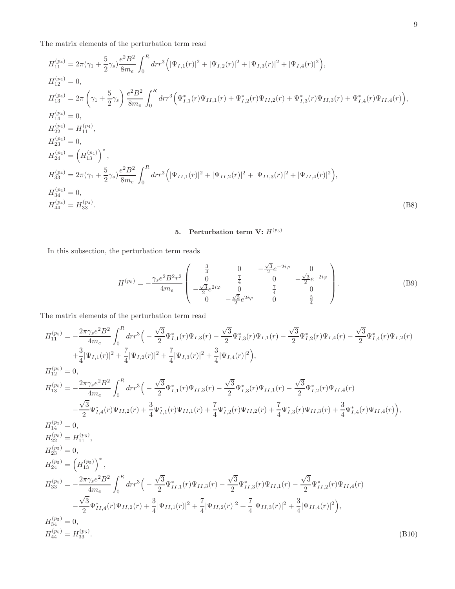The matrix elements of the perturbation term read

$$
H_{11}^{(p_4)} = 2\pi (\gamma_1 + \frac{5}{2}\gamma_s) \frac{e^2 B^2}{8m_e} \int_0^R dr r^3 \Big( |\Psi_{I,1}(r)|^2 + |\Psi_{I,2}(r)|^2 + |\Psi_{I,3}(r)|^2 + |\Psi_{I,4}(r)|^2 \Big),
$$
  
\n
$$
H_{12}^{(p_4)} = 0,
$$
  
\n
$$
H_{13}^{(p_4)} = 2\pi \left( \gamma_1 + \frac{5}{2}\gamma_s \right) \frac{e^2 B^2}{8m_e} \int_0^R dr r^3 \Big( \Psi_{I,1}^*(r) \Psi_{II,1}(r) + \Psi_{I,2}^*(r) \Psi_{II,2}(r) + \Psi_{I,3}^*(r) \Psi_{II,3}(r) + \Psi_{I,4}^*(r) \Psi_{II,4}(r) \Big),
$$
  
\n
$$
H_{14}^{(p_4)} = 0,
$$
  
\n
$$
H_{22}^{(p_4)} = H_{11}^{(p_4)},
$$
  
\n
$$
H_{23}^{(p_4)} = 0,
$$
  
\n
$$
H_{33}^{(p_4)} = 2\pi (\gamma_1 + \frac{5}{2}\gamma_s) \frac{e^2 B^2}{8m_e} \int_0^R dr r^3 \Big( |\Psi_{II,1}(r)|^2 + |\Psi_{II,2}(r)|^2 + |\Psi_{II,3}(r)|^2 + |\Psi_{II,4}(r)|^2 \Big),
$$
  
\n
$$
H_{34}^{(p_4)} = 0,
$$
  
\n
$$
H_{44}^{(p_4)} = H_{33}^{(p_4)}.
$$
  
\n(B8)

## 5. Perturbation term V:  $H^{(p_5)}$

In this subsection, the perturbation term reads

$$
H^{(p_5)} = -\frac{\gamma_s e^2 B^2 r^2}{4m_e} \begin{pmatrix} \frac{3}{4} & 0 & -\frac{\sqrt{3}}{2} e^{-2i\varphi} & 0\\ 0 & \frac{7}{4} & 0 & -\frac{\sqrt{3}}{2} e^{-2i\varphi} \\ -\frac{\sqrt{3}}{2} e^{2i\varphi} & 0 & \frac{7}{4} & 0\\ 0 & -\frac{\sqrt{3}}{2} e^{2i\varphi} & 0 & \frac{3}{4} \end{pmatrix}.
$$
 (B9)

The matrix elements of the perturbation term read

$$
H_{11}^{(p_5)} = -\frac{2\pi\gamma_s e^2 B^2}{4m_e} \int_0^R dr r^3 \Big( -\frac{\sqrt{3}}{2} \Psi_{I,1}^*(r) \Psi_{I,3}(r) - \frac{\sqrt{3}}{2} \Psi_{I,3}^*(r) \Psi_{I,1}(r) - \frac{\sqrt{3}}{2} \Psi_{I,2}^*(r) \Psi_{I,4}(r) - \frac{\sqrt{3}}{2} \Psi_{I,4}^*(r) \Psi_{I,2}(r) \Big)
$$
  
\n
$$
+ \frac{3}{4} |\Psi_{I,1}(r)|^2 + \frac{7}{4} |\Psi_{I,2}(r)|^2 + \frac{7}{4} |\Psi_{I,3}(r)|^2 + \frac{3}{4} |\Psi_{I,4}(r)|^2 \Big),
$$
  
\n
$$
H_{13}^{(p_5)} = -\frac{2\pi\gamma_s e^2 B^2}{4m_e} \int_0^R dr r^3 \Big( -\frac{\sqrt{3}}{2} \Psi_{I,1}^*(r) \Psi_{II,3}(r) - \frac{\sqrt{3}}{2} \Psi_{I,3}^*(r) \Psi_{II,1}(r) - \frac{\sqrt{3}}{2} \Psi_{I,2}^*(r) \Psi_{II,4}(r) - \frac{\sqrt{3}}{2} \Psi_{I,4}^*(r) \Psi_{II,2}(r) + \frac{3}{4} \Psi_{I,4}^*(r) \Psi_{II,2}(r) + \frac{7}{4} \Psi_{I,3}^*(r) \Psi_{II,2}(r) + \frac{7}{4} \Psi_{I,3}^*(r) \Psi_{II,3}(r) + \frac{3}{4} \Psi_{I,4}^*(r) \Psi_{II,4}(r) \Big),
$$
  
\n
$$
H_{14}^{(p_5)} = 0,
$$
  
\n
$$
H_{24}^{(p_5)} = H_{11}^{(p_5)},
$$
  
\n
$$
H_{24}^{(p_5)} = (H_{13}^{(p_5)})^*
$$
  
\n
$$
H_{33}^{(p_5)} = -\frac{2\pi\gamma_s e^2 B^2}{4m_e} \int_0^R dr r^3 \Big( -\frac{\sqrt{3}}{2} \Psi_{II,1}^*(r) \Psi_{II,3}(r) - \frac{\sqrt{3}}{2} \
$$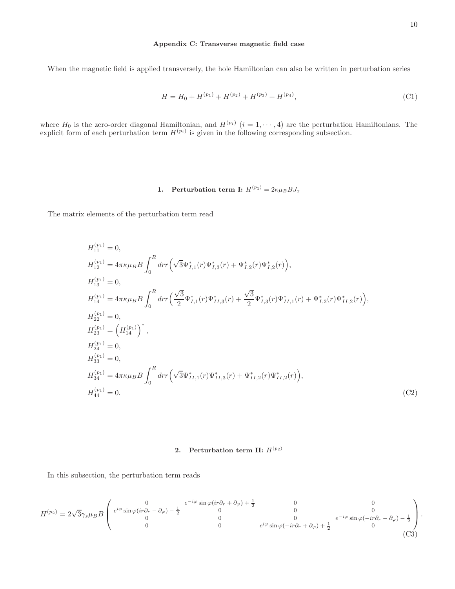#### <span id="page-9-0"></span>Appendix C: Transverse magnetic field case

When the magnetic field is applied transversely, the hole Hamiltonian can also be written in perturbation series

$$
H = H_0 + H^{(p_1)} + H^{(p_2)} + H^{(p_3)} + H^{(p_4)},
$$
\n(C1)

where  $H_0$  is the zero-order diagonal Hamiltonian, and  $H^{(p_i)}$   $(i = 1, \dots, 4)$  are the perturbation Hamiltonians. The explicit form of each perturbation term  $H^{(p_i)}$  is given in the following corresponding subsection.

## 1. Perturbation term I:  $H^{(p_1)} = 2\kappa\mu_B B J_x$

The matrix elements of the perturbation term read

$$
H_{11}^{(p_1)} = 0,
$$
  
\n
$$
H_{12}^{(p_1)} = 4\pi\kappa\mu_B B \int_0^R dr r \Big( \sqrt{3} \Psi_{I,1}^*(r) \Psi_{I,3}^*(r) + \Psi_{I,2}^*(r) \Psi_{I,2}^*(r) \Big),
$$
  
\n
$$
H_{13}^{(p_1)} = 0,
$$
  
\n
$$
H_{14}^{(p_1)} = 4\pi\kappa\mu_B B \int_0^R dr r \Big( \frac{\sqrt{3}}{2} \Psi_{I,1}^*(r) \Psi_{II,3}^*(r) + \frac{\sqrt{3}}{2} \Psi_{I,3}^*(r) \Psi_{II,1}^*(r) + \Psi_{I,2}^*(r) \Psi_{II,2}^*(r) \Big),
$$
  
\n
$$
H_{22}^{(p_1)} = 0,
$$
  
\n
$$
H_{23}^{(p_1)} = \Big( H_{14}^{(p_1)} \Big)^*,
$$
  
\n
$$
H_{33}^{(p_1)} = 0,
$$
  
\n
$$
H_{34}^{(p_1)} = 4\pi\kappa\mu_B B \int_0^R dr r \Big( \sqrt{3} \Psi_{II,1}^*(r) \Psi_{II,3}^*(r) + \Psi_{II,2}^*(r) \Psi_{II,2}^*(r) \Big),
$$
  
\n
$$
H_{44}^{(p_1)} = 0.
$$
  
\n(C2)

## 2. Perturbation term II:  $H^{(p_2)}$

$$
H^{(p_2)} = 2\sqrt{3}\gamma_s \mu_B B \begin{pmatrix} 0 & e^{-i\varphi}\sin\varphi(i r \partial_r + \partial_\varphi) + \frac{1}{2} & 0 & 0\\ e^{i\varphi}\sin\varphi(i r \partial_r - \partial_\varphi) - \frac{1}{2} & 0 & 0\\ 0 & 0 & 0 & e^{i\varphi}\sin\varphi(-i r \partial_r + \partial_\varphi) + \frac{1}{2} & 0\\ 0 & 0 & e^{i\varphi}\sin\varphi(-i r \partial_r + \partial_\varphi) + \frac{1}{2} & 0 \end{pmatrix}.
$$
(C3)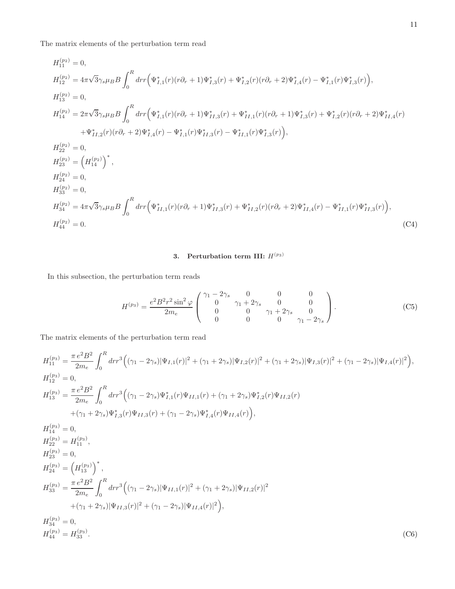The matrix elements of the perturbation term read

$$
H_{11}^{(p_2)} = 0,
$$
  
\n
$$
H_{12}^{(p_2)} = 4\pi\sqrt{3}\gamma_s\mu_B B \int_0^R dr r \Big(\Psi_{I,1}^*(r)(r\partial_r + 1)\Psi_{I,3}^*(r) + \Psi_{I,2}^*(r)(r\partial_r + 2)\Psi_{I,4}^*(r) - \Psi_{I,1}^*(r)\Psi_{I,3}^*(r) \Big),
$$
  
\n
$$
H_{13}^{(p_2)} = 0,
$$
  
\n
$$
H_{14}^{(p_2)} = 2\pi\sqrt{3}\gamma_s\mu_B B \int_0^R dr r \Big(\Psi_{I,1}^*(r)(r\partial_r + 1)\Psi_{II,3}^*(r) + \Psi_{II,1}^*(r)(r\partial_r + 1)\Psi_{I,3}^*(r) + \Psi_{I,2}^*(r)(r\partial_r + 2)\Psi_{II,4}^*(r) \Big) + \Psi_{I,2}^*(r)(r\partial_r + 2)\Psi_{I,4}^*(r) - \Psi_{I,1}^*(r)\Psi_{II,3}^*(r) - \Psi_{II,1}^*(r)\Psi_{I,3}^*(r) \Big),
$$
  
\n
$$
H_{22}^{(p_2)} = 0,
$$
  
\n
$$
H_{23}^{(p_2)} = \Big(H_{14}^{(p_2)}\Big)^*,
$$
  
\n
$$
H_{24}^{(p_2)} = 0,
$$
  
\n
$$
H_{33}^{(p_2)} = 0,
$$
  
\n
$$
H_{34}^{(p_2)} = 0,
$$
  
\n
$$
H_{44}^{(p_2)} = 0.
$$
  
\n
$$
H_{44}^{(p_2)} = 0.
$$
  
\n
$$
H_{44}^{(p_2)} = 0.
$$
  
\n
$$
(C4)
$$

# 3. Perturbation term III:  $H^{(p_3)}$

In this subsection, the perturbation term reads

$$
H^{(p_3)} = \frac{e^2 B^2 r^2 \sin^2 \varphi}{2m_e} \begin{pmatrix} \gamma_1 - 2\gamma_s & 0 & 0 & 0\\ 0 & \gamma_1 + 2\gamma_s & 0 & 0\\ 0 & 0 & \gamma_1 + 2\gamma_s & 0\\ 0 & 0 & 0 & \gamma_1 - 2\gamma_s \end{pmatrix} . \tag{C5}
$$

The matrix elements of the perturbation term read

$$
H_{11}^{(p_3)} = \frac{\pi e^2 B^2}{2m_e} \int_0^R dr r^3 \Big( (\gamma_1 - 2\gamma_s) |\Psi_{I,1}(r)|^2 + (\gamma_1 + 2\gamma_s) |\Psi_{I,2}(r)|^2 + (\gamma_1 + 2\gamma_s) |\Psi_{I,3}(r)|^2 + (\gamma_1 - 2\gamma_s) |\Psi_{I,4}(r)|^2 \Big),
$$
  
\n
$$
H_{12}^{(p_3)} = 0,
$$
  
\n
$$
H_{13}^{(p_3)} = \frac{\pi e^2 B^2}{2m_e} \int_0^R dr r^3 \Big( (\gamma_1 - 2\gamma_s) \Psi_{I,1}^*(r) \Psi_{II,1}(r) + (\gamma_1 + 2\gamma_s) \Psi_{I,2}^*(r) \Psi_{II,2}(r) \Big) + (\gamma_1 + 2\gamma_s) \Psi_{I,3}^*(r) \Psi_{II,3}(r) + (\gamma_1 - 2\gamma_s) \Psi_{I,4}^*(r) \Psi_{II,4}(r) \Big),
$$
  
\n
$$
H_{14}^{(p_3)} = 0,
$$
  
\n
$$
H_{24}^{(p_3)} = H_{11}^{(p_3)},
$$
  
\n
$$
H_{23}^{(p_3)} = 0,
$$
  
\n
$$
H_{23}^{(p_3)} = \frac{\pi e^2 B^2}{2m_e} \int_0^R dr r^3 \Big( (\gamma_1 - 2\gamma_s) |\Psi_{II,1}(r)|^2 + (\gamma_1 + 2\gamma_s) |\Psi_{II,2}(r)|^2 + (\gamma_1 + 2\gamma_s) |\Psi_{II,3}(r)|^2 + (\gamma_1 + 2\gamma_s) |\Psi_{II,3}(r)|^2 + (\gamma_1 - 2\gamma_s) |\Psi_{II,4}(r)|^2 \Big),
$$
  
\n
$$
H_{34}^{(p_3)} = 0,
$$
  
\n
$$
H_{44}^{(p_3)} = H_{33}^{(p_3)}.
$$
  
\n(C6)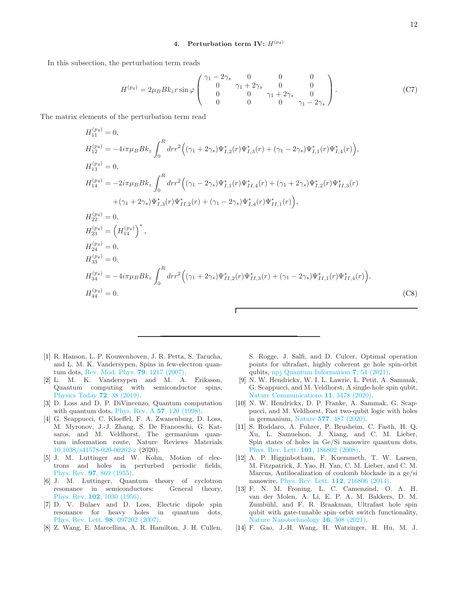## 4. Perturbation term IV:  $H^{(p_4)}$

In this subsection, the perturbation term reads

$$
H^{(p_4)} = 2\mu_B B k_z r \sin \varphi \begin{pmatrix} \gamma_1 - 2\gamma_s & 0 & 0 & 0 \\ 0 & \gamma_1 + 2\gamma_s & 0 & 0 \\ 0 & 0 & \gamma_1 + 2\gamma_s & 0 \\ 0 & 0 & 0 & \gamma_1 - 2\gamma_s \end{pmatrix} . \tag{C7}
$$

The matrix elements of the perturbation term read

$$
H_{11}^{(p_4)} = 0,
$$
  
\n
$$
H_{12}^{(p_4)} = -4i\pi\mu_B B k_z \int_0^R dr r^2 \Big( (\gamma_1 + 2\gamma_s) \Psi_{I,2}^*(r) \Psi_{I,3}^*(r) + (\gamma_1 - 2\gamma_s) \Psi_{I,1}^*(r) \Psi_{I,4}^*(r) \Big),
$$
  
\n
$$
H_{13}^{(p_4)} = 0,
$$
  
\n
$$
H_{14}^{(p_4)} = -2i\pi\mu_B B k_z \int_0^R dr r^2 \Big( (\gamma_1 - 2\gamma_s) \Psi_{I,1}^*(r) \Psi_{II,4}^*(r) + (\gamma_1 + 2\gamma_s) \Psi_{I,2}^*(r) \Psi_{II,3}^*(r) + (\gamma_1 + 2\gamma_s) \Psi_{I,3}^*(r) \Psi_{II,2}^*(r) \Psi_{II,3}^*(r) \Big),
$$
  
\n
$$
H_{22}^{(p_4)} = 0,
$$
  
\n
$$
H_{23}^{(p_4)} = \Big( H_{14}^{(p_4)} \Big)^*,
$$
  
\n
$$
H_{23}^{(p_4)} = 0,
$$
  
\n
$$
H_{34}^{(p_4)} = -4i\pi\mu_B B k_z \int_0^R dr r^2 \Big( (\gamma_1 + 2\gamma_s) \Psi_{II,2}^*(r) \Psi_{II,3}^*(r) + (\gamma_1 - 2\gamma_s) \Psi_{II,1}^*(r) \Psi_{II,4}^*(r) \Big),
$$
  
\n
$$
H_{44}^{(p_4)} = 0.
$$
  
\n(C8)

- <span id="page-11-0"></span>[1] R. Hanson, L. P. Kouwenhoven, J. R. Petta, S. Tarucha, and L. M. K. Vandersypen, Spins in few-electron quantum dots, [Rev. Mod. Phys.](https://doi.org/10.1103/RevModPhys.79.1217) 79, 1217 (2007).
- <span id="page-11-1"></span>[2] L. M. K. Vandersypen and M. A. Eriksson, Quantum computing with semiconductor spins, [Physics Today](https://doi.org/10.1063/PT.3.4270) 72, 38 (2019).
- <span id="page-11-2"></span>[3] D. Loss and D. P. DiVincenzo, Quantum computation with quantum dots, [Phys. Rev. A](https://doi.org/10.1103/PhysRevA.57.120) 57, 120 (1998).
- <span id="page-11-3"></span>[4] G. Scappucci, C. Kloeffel, F. A. Zwanenburg, D. Loss, M. Myronov, J.-J. Zhang, S. De Franceschi, G. Katsaros, and M. Veldhorst, The germanium quantum information route, Nature Reviews Materials [10.1038/s41578-020-00262-z](https://doi.org/10.1038/s41578-020-00262-z) (2020).
- <span id="page-11-4"></span>[5] J. M. Luttinger and W. Kohn, Motion of electrons and holes in perturbed periodic fields, Phys. Rev. 97[, 869 \(1955\).](https://doi.org/10.1103/PhysRev.97.869)
- <span id="page-11-5"></span>[6] J. M. Luttinger, Quantum theory of cyclotron resonance in semiconductors: General theory, Phys. Rev. 102[, 1030 \(1956\).](https://doi.org/10.1103/PhysRev.102.1030)
- <span id="page-11-6"></span>[7] D. V. Bulaev and D. Loss, Electric dipole spin resonance for heavy holes in quantum dots, [Phys. Rev. Lett.](https://doi.org/10.1103/PhysRevLett.98.097202) 98, 097202 (2007).
- <span id="page-11-7"></span>[8] Z. Wang, E. Marcellina, A. R. Hamilton, J. H. Cullen,

S. Rogge, J. Salfi, and D. Culcer, Optimal operation points for ultrafast, highly coherent ge hole spin-orbit qubits, [npj Quantum Information](https://doi.org/10.1038/s41534-021-00386-2) 7, 54 (2021).

- <span id="page-11-8"></span>[9] N. W. Hendrickx, W. I. L. Lawrie, L. Petit, A. Sammak, G. Scappucci, and M. Veldhorst, A single-hole spin qubit, [Nature Communications](https://doi.org/10.1038/s41467-020-17211-7) 11, 3478 (2020).
- <span id="page-11-9"></span>[10] N. W. Hendrickx, D. P. Franke, A. Sammak, G. Scappucci, and M. Veldhorst, Fast two-qubit logic with holes in germanium, Nature 577[, 487 \(2020\).](https://doi.org/10.1038/s41586-019-1919-3)
- <span id="page-11-10"></span>[11] S. Roddaro, A. Fuhrer, P. Brusheim, C. Fasth, H. Q. Xu, L. Samuelson, J. Xiang, and C. M. Lieber, Spin states of holes in Ge/Si nanowire quantum dots, [Phys. Rev. Lett.](https://doi.org/10.1103/PhysRevLett.101.186802) 101, 186802 (2008).
- <span id="page-11-11"></span>[12] A. P. Higginbotham, F. Kuemmeth, T. W. Larsen, M. Fitzpatrick, J. Yao, H. Yan, C. M. Lieber, and C. M. Marcus, Antilocalization of coulomb blockade in a ge/si nanowire, [Phys. Rev. Lett.](https://doi.org/10.1103/PhysRevLett.112.216806) 112, 216806 (2014).
- [13] F. N. M. Froning, L. C. Camenzind, O. A. H. van der Molen, A. Li, E. P. A. M. Bakkers, D. M. Zumbühl, and F. R. Braakman, Ultrafast hole spin qubit with gate-tunable spin–orbit switch functionality, [Nature Nanotechnology](https://doi.org/10.1038/s41565-020-00828-6) 16, 308 (2021).
- [14] F. Gao, J.-H. Wang, H. Watzinger, H. Hu, M. J.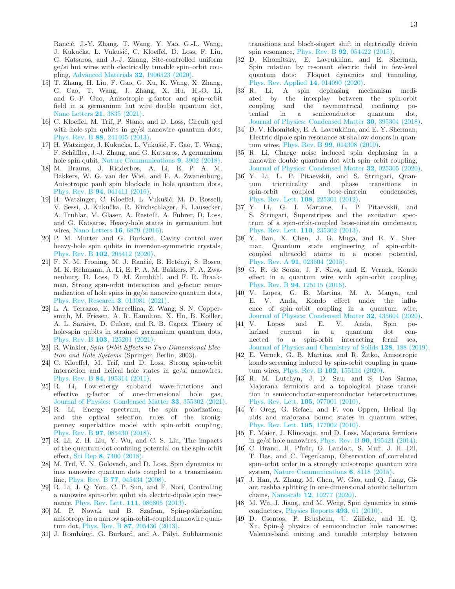Rančić, J.-Y. Zhang, T. Wang, Y. Yao, G.-L. Wang, J. Kukučka, L. Vukušić, C. Kloeffel, D. Loss, F. Liu, G. Katsaros, and J.-J. Zhang, Site-controlled uniform ge/si hut wires with electrically tunable spin–orbit coupling, [Advanced Materials](https://doi.org/https://doi.org/10.1002/adma.201906523) 32, 1906523 (2020).

- <span id="page-12-0"></span>[15] T. Zhang, H. Liu, F. Gao, G. Xu, K. Wang, X. Zhang, G. Cao, T. Wang, J. Zhang, X. Hu, H.-O. Li, and G.-P. Guo, Anisotropic g-factor and spin–orbit field in a germanium hut wire double quantum dot, Nano Letters 21[, 3835 \(2021\).](https://doi.org/10.1021/acs.nanolett.1c00263)
- <span id="page-12-1"></span>[16] C. Kloeffel, M. Trif, P. Stano, and D. Loss, Circuit qed with hole-spin qubits in ge/si nanowire quantum dots, Phys. Rev. B 88[, 241405 \(2013\).](https://doi.org/10.1103/PhysRevB.88.241405)
- [17] H. Watzinger, J. Kukučka, L. Vukušić, F. Gao, T. Wang, F. Schäffler, J.-J. Zhang, and G. Katsaros, A germanium hole spin qubit, [Nature Communications](https://doi.org/10.1038/s41467-018-06418-4) 9, 3902 (2018).
- [18] M. Brauns, J. Ridderbos, A. Li, E. P. A. M. Bakkers, W. G. van der Wiel, and F. A. Zwanenburg, Anisotropic pauli spin blockade in hole quantum dots, Phys. Rev. B 94[, 041411 \(2016\).](https://doi.org/10.1103/PhysRevB.94.041411)
- [19] H. Watzinger, C. Kloeffel, L. Vukušić, M. D. Rossell, V. Sessi, J. Kukučka, R. Kirchschlager, E. Lausecker, A. Truhlar, M. Glaser, A. Rastelli, A. Fuhrer, D. Loss, and G. Katsaros, Heavy-hole states in germanium hut wires, Nano Letters 16[, 6879 \(2016\).](https://doi.org/10.1021/acs.nanolett.6b02715)
- [20] P. M. Mutter and G. Burkard, Cavity control over heavy-hole spin qubits in inversion-symmetric crystals, Phys. Rev. B 102[, 205412 \(2020\).](https://doi.org/10.1103/PhysRevB.102.205412)
- <span id="page-12-2"></span>[21] F. N. M. Froning, M. J. Rančić, B. Hetényi, S. Bosco. M. K. Rehmann, A. Li, E. P. A. M. Bakkers, F. A. Zwanenburg, D. Loss, D. M. Zumbühl, and F. R. Braakman, Strong spin-orbit interaction and g-factor renormalization of hole spins in ge/si nanowire quantum dots, [Phys. Rev. Research](https://doi.org/10.1103/PhysRevResearch.3.013081) 3, 013081 (2021).
- <span id="page-12-3"></span>[22] L. A. Terrazos, E. Marcellina, Z. Wang, S. N. Coppersmith, M. Friesen, A. R. Hamilton, X. Hu, B. Koiller, A. L. Saraiva, D. Culcer, and R. B. Capaz, Theory of hole-spin qubits in strained germanium quantum dots, Phys. Rev. B 103[, 125201 \(2021\).](https://doi.org/10.1103/PhysRevB.103.125201)
- <span id="page-12-4"></span>[23] R. Winkler, Spin-Orbit Effects in Two-Dimensional Electron and Hole Systems (Springer, Berlin, 2003).
- <span id="page-12-5"></span>[24] C. Kloeffel, M. Trif, and D. Loss, Strong spin-orbit interaction and helical hole states in ge/si nanowires, Phys. Rev. B 84[, 195314 \(2011\).](https://doi.org/10.1103/PhysRevB.84.195314)
- <span id="page-12-6"></span>[25] R. Li, Low-energy subband wave-functions and effective g-factor of one-dimensional hole gas, [Journal of Physics: Condensed Matter](https://doi.org/10.1088/1361-648x/ac0d18) 33, 355302 (2021).
- <span id="page-12-7"></span>[26] R. Li, Energy spectrum, the spin polarization, and the optical selection rules of the kronigpenney superlattice model with spin-orbit coupling, Phys. Rev. B 97[, 085430 \(2018\).](https://doi.org/10.1103/PhysRevB.97.085430)
- <span id="page-12-8"></span>[27] R. Li, Z. H. Liu, Y. Wu, and C. S. Liu, The impacts of the quantum-dot confining potential on the spin-orbit effect, Sci Rep 8[, 7400 \(2018\).](https://doi.org/10.1038/s41598-018-25692-2)
- <span id="page-12-9"></span>[28] M. Trif, V. N. Golovach, and D. Loss, Spin dynamics in inas nanowire quantum dots coupled to a transmission line, Phys. Rev. B 77[, 045434 \(2008\).](https://doi.org/10.1103/PhysRevB.77.045434)
- [29] R. Li, J. Q. You, C. P. Sun, and F. Nori, Controlling a nanowire spin-orbit qubit via electric-dipole spin resonance, [Phys. Rev. Lett.](https://doi.org/10.1103/PhysRevLett.111.086805) 111, 086805 (2013).
- [30] M. P. Nowak and B. Szafran, Spin-polarization anisotropy in a narrow spin-orbit-coupled nanowire quantum dot, Phys. Rev. B 87[, 205436 \(2013\).](https://doi.org/10.1103/PhysRevB.87.205436)
- [31] J. Romhányi, G. Burkard, and A. Pályi, Subharmonic

transitions and bloch-siegert shift in electrically driven spin resonance, Phys. Rev. B 92[, 054422 \(2015\).](https://doi.org/10.1103/PhysRevB.92.054422)

- [32] D. Khomitsky, E. Lavrukhina, and E. Sherman, Spin rotation by resonant electric field in few-level quantum dots: Floquet dynamics and tunneling, [Phys. Rev. Applied](https://doi.org/10.1103/PhysRevApplied.14.014090) 14, 014090 (2020).<br>R. Li, A spin dephasing me
- [33] R. Li, A spin dephasing mechanism mediated by the interplay between the spin-orbit coupling and the asymmetrical confining potential in a semiconductor quantum dot, [Journal of Physics: Condensed Matter](https://doi.org/10.1088/1361-648X/aadcb8) 30, 395304 (2018).
- [34] D. V. Khomitsky, E. A. Lavrukhina, and E. Y. Sherman, Electric dipole spin resonance at shallow donors in quantum wires, Phys. Rev. B 99[, 014308 \(2019\).](https://doi.org/10.1103/PhysRevB.99.014308)
- <span id="page-12-10"></span>[35] R. Li, Charge noise induced spin dephasing in a nanowire double quantum dot with spin–orbit coupling, [Journal of Physics: Condensed Matter](https://doi.org/10.1088/1361-648x/ab4933) 32, 025305 (2020).
- <span id="page-12-11"></span>[36] Y. Li, L. P. Pitaevskii, and S. Stringari, Quantum tricriticality and phase transitions in spin-orbit coupled bose-einstein condensates, [Phys. Rev. Lett.](https://doi.org/10.1103/PhysRevLett.108.225301) 108, 225301 (2012).
- [37] Y. Li, G. I. Martone, L. P. Pitaevskii, and S. Stringari, Superstripes and the excitation spectrum of a spin-orbit-coupled bose-einstein condensate, [Phys. Rev. Lett.](https://doi.org/10.1103/PhysRevLett.110.235302) 110, 235302 (2013).
- <span id="page-12-12"></span>[38] Y. Ban, X. Chen, J. G. Muga, and E. Y. Sherman, Quantum state engineering of spin-orbitcoupled ultracold atoms in a morse potential, Phys. Rev. A 91[, 023604 \(2015\).](https://doi.org/10.1103/PhysRevA.91.023604)
- <span id="page-12-13"></span>[39] G. R. de Sousa, J. F. Silva, and E. Vernek, Kondo effect in a quantum wire with spin-orbit coupling, Phys. Rev. B 94[, 125115 \(2016\).](https://doi.org/10.1103/PhysRevB.94.125115)
- [40] V. Lopes, G. B. Martins, M. A. Manya, and E. V. Anda, Kondo effect under the influence of spin–orbit coupling in a quantum wire, [Journal of Physics: Condensed Matter](https://doi.org/10.1088/1361-648x/aba45c) 32, 435604 (2020).
- [41] V. Lopes and E. V. Anda, Spin polarized current in a quantum dot connected to a spin-orbit interacting fermi sea, [Journal of Physics and Chemistry of Solids](https://doi.org/https://doi.org/10.1016/j.jpcs.2018.03.038) 128, 188 (2019).
- <span id="page-12-14"></span> $[42]$  E. Vernek, G. B. Martins, and R. Žitko, Anisotropic kondo screening induced by spin-orbit coupling in quantum wires, Phys. Rev. B 102[, 155114 \(2020\).](https://doi.org/10.1103/PhysRevB.102.155114)
- <span id="page-12-15"></span>[43] R. M. Lutchyn, J. D. Sau, and S. Das Sarma, Majorana fermions and a topological phase transition in semiconductor-superconductor heterostructures, [Phys. Rev. Lett.](https://doi.org/10.1103/PhysRevLett.105.077001) 105, 077001 (2010).
- [44] Y. Oreg, G. Refael, and F. von Oppen, Helical liquids and majorana bound states in quantum wires, [Phys. Rev. Lett.](https://doi.org/10.1103/PhysRevLett.105.177002) 105, 177002 (2010).
- <span id="page-12-16"></span>[45] F. Maier, J. Klinovaja, and D. Loss, Majorana fermions in ge/si hole nanowires, Phys. Rev. B 90[, 195421 \(2014\).](https://doi.org/10.1103/PhysRevB.90.195421)
- <span id="page-12-17"></span>[46] C. Brand, H. Pfnür, G. Landolt, S. Muff, J. H. Dil, T. Das, and C. Tegenkamp, Observation of correlated spin–orbit order in a strongly anisotropic quantum wire system, [Nature Communications](https://doi.org/10.1038/ncomms9118) 6, 8118 (2015).
- <span id="page-12-18"></span>[47] J. Han, A. Zhang, M. Chen, W. Gao, and Q. Jiang, Giant rashba splitting in one-dimensional atomic tellurium chains, Nanoscale 12[, 10277 \(2020\).](https://pubs.rsc.org/en/content/articlehtml/2020/nr/d0nr00443j)
- <span id="page-12-19"></span>[48] M. Wu, J. Jiang, and M. Weng, Spin dynamics in semiconductors, [Physics Reports](https://doi.org/https://doi.org/10.1016/j.physrep.2010.04.002) 493, 61 (2010).
- <span id="page-12-20"></span>[49] D. Csontos, P. Brusheim, U. Zülicke, and H. Q. Xu, Spin- $\frac{3}{2}$  physics of semiconductor hole nanowires: Valence-band mixing and tunable interplay between